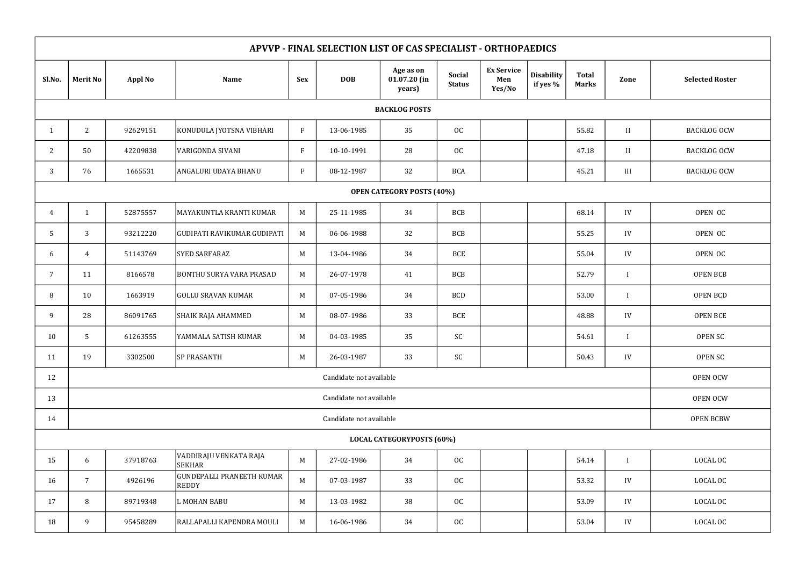| APVVP - FINAL SELECTION LIST OF CAS SPECIALIST - ORTHOPAEDICS |                                     |                |                                         |              |            |                                       |                                |                                    |                               |                              |              |                        |
|---------------------------------------------------------------|-------------------------------------|----------------|-----------------------------------------|--------------|------------|---------------------------------------|--------------------------------|------------------------------------|-------------------------------|------------------------------|--------------|------------------------|
| Sl.No.                                                        | <b>Merit No</b>                     | <b>Appl No</b> | <b>Name</b>                             | <b>Sex</b>   | <b>DOB</b> | Age as on<br>$01.07.20$ (in<br>years) | <b>Social</b><br><b>Status</b> | <b>Ex Service</b><br>Men<br>Yes/No | <b>Disability</b><br>if yes % | <b>Total</b><br><b>Marks</b> | Zone         | <b>Selected Roster</b> |
| <b>BACKLOG POSTS</b>                                          |                                     |                |                                         |              |            |                                       |                                |                                    |                               |                              |              |                        |
|                                                               | $\mathbf{2}$                        | 92629151       | KONUDULA JYOTSNA VIBHARI                | $\mathbf{F}$ | 13-06-1985 | 35                                    | OC                             |                                    |                               | 55.82                        | $\rm II$     | <b>BACKLOG OCW</b>     |
| 2                                                             | 50                                  | 42209838       | VARIGONDA SIVANI                        | F            | 10-10-1991 | 28                                    | OC                             |                                    |                               | 47.18                        | $\mathbf{I}$ | <b>BACKLOG OCW</b>     |
| 3                                                             | 76                                  | 1665531        | ANGALURI UDAYA BHANU                    | $\mathbf{F}$ | 08-12-1987 | 32                                    | <b>BCA</b>                     |                                    |                               | 45.21                        | III          | <b>BACKLOG OCW</b>     |
| <b>OPEN CATEGORY POSTS (40%)</b>                              |                                     |                |                                         |              |            |                                       |                                |                                    |                               |                              |              |                        |
| $\overline{A}$                                                | $\mathbf{1}$                        | 52875557       | MAYAKUNTLA KRANTI KUMAR                 | M            | 25-11-1985 | 34                                    | <b>BCB</b>                     |                                    |                               | 68.14                        | IV           | OPEN OC                |
| 5                                                             | 3                                   | 93212220       | GUDIPATI RAVIKUMAR GUDIPATI             | M            | 06-06-1988 | 32                                    | <b>BCB</b>                     |                                    |                               | 55.25                        | IV           | OPEN OC                |
| 6                                                             | $\overline{4}$                      | 51143769       | <b>SYED SARFARAZ</b>                    | $M_{\odot}$  | 13-04-1986 | 34                                    | <b>BCE</b>                     |                                    |                               | 55.04                        | IV           | OPEN OC                |
| 7                                                             | 11                                  | 8166578        | <b>BONTHU SURYA VARA PRASAD</b>         | M            | 26-07-1978 | 41                                    | <b>BCB</b>                     |                                    |                               | 52.79                        | $\mathbf{I}$ | <b>OPEN BCB</b>        |
| 8                                                             | 10                                  | 1663919        | <b>GOLLU SRAVAN KUMAR</b>               | M            | 07-05-1986 | 34                                    | <b>BCD</b>                     |                                    |                               | 53.00                        |              | <b>OPEN BCD</b>        |
| 9                                                             | 28                                  | 86091765       | SHAIK RAJA AHAMMED                      | M            | 08-07-1986 | 33                                    | <b>BCE</b>                     |                                    |                               | 48.88                        | IV           | <b>OPEN BCE</b>        |
| 10                                                            | 5                                   | 61263555       | YAMMALA SATISH KUMAR                    | $M_{\odot}$  | 04-03-1985 | 35                                    | SC                             |                                    |                               | 54.61                        |              | <b>OPEN SC</b>         |
| 11                                                            | 19                                  | 3302500        | <b>SP PRASANTH</b>                      | $M_{\odot}$  | 26-03-1987 | 33                                    | SC                             |                                    |                               | 50.43                        | IV           | OPEN SC                |
| 12                                                            | Candidate not available<br>OPEN OCW |                |                                         |              |            |                                       |                                |                                    |                               |                              |              |                        |
| 13                                                            | Candidate not available             |                |                                         |              |            |                                       |                                |                                    |                               | OPEN OCW                     |              |                        |
| 14                                                            | Candidate not available             |                |                                         |              |            |                                       |                                |                                    |                               | <b>OPEN BCBW</b>             |              |                        |
| <b>LOCAL CATEGORYPOSTS (60%)</b>                              |                                     |                |                                         |              |            |                                       |                                |                                    |                               |                              |              |                        |
| 15                                                            | 6                                   | 37918763       | VADDIRAJU VENKATA RAJA<br><b>SEKHAR</b> | $\mathbf M$  | 27-02-1986 | 34                                    | OC                             |                                    |                               | 54.14                        | $\mathbf I$  | LOCAL OC               |
| 16                                                            | $\overline{7}$                      | 4926196        | GUNDEPALLI PRANEETH KUMAR<br>REDDY      | M            | 07-03-1987 | 33                                    | OC                             |                                    |                               | 53.32                        | IV           | LOCAL OC               |
| 17                                                            | 8                                   | 89719348       | L MOHAN BABU                            | M            | 13-03-1982 | 38                                    | OC                             |                                    |                               | 53.09                        | IV           | LOCAL OC               |
| 18                                                            | 9                                   | 95458289       | RALLAPALLI KAPENDRA MOULI               | M            | 16-06-1986 | 34                                    | OC                             |                                    |                               | 53.04                        | IV           | LOCAL OC               |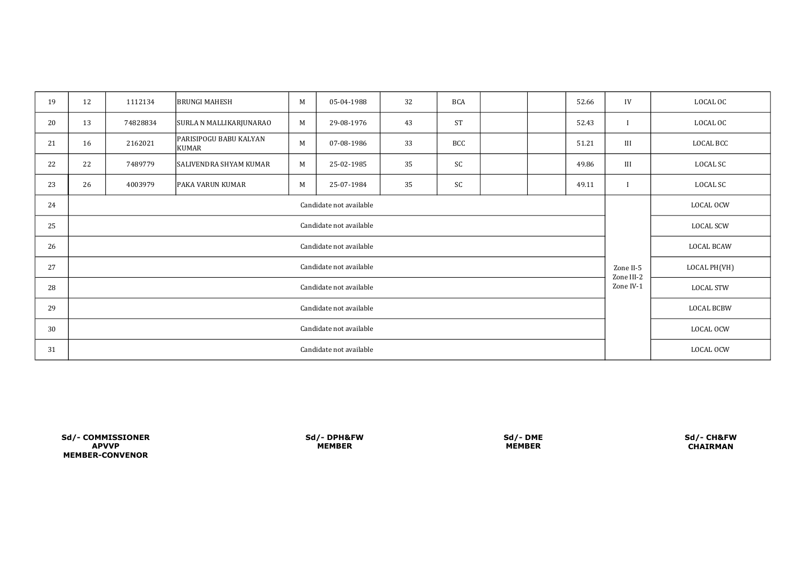| 19 | 12                      | 1112134  | <b>BRUNGI MAHESH</b>            | M           | 05-04-1988 | 32 | <b>BCA</b> |  |  | 52.66                   | IV                | LOCAL OC  |
|----|-------------------------|----------|---------------------------------|-------------|------------|----|------------|--|--|-------------------------|-------------------|-----------|
| 20 | 13                      | 74828834 | SURLA N MALLIKARJUNARAO         | M           | 29-08-1976 | 43 | <b>ST</b>  |  |  | 52.43                   |                   | LOCAL OC  |
| 21 | 16                      | 2162021  | PARISIPOGU BABU KALYAN<br>KUMAR | $\mathbf M$ | 07-08-1986 | 33 | <b>BCC</b> |  |  | 51.21                   | III               | LOCAL BCC |
| 22 | 22                      | 7489779  | <b>SALIVENDRA SHYAM KUMAR</b>   | M           | 25-02-1985 | 35 | SC         |  |  | 49.86                   | III               | LOCAL SC  |
| 23 | 26                      | 4003979  | <b>PAKA VARUN KUMAR</b>         | $\mathbf M$ | 25-07-1984 | 35 | SC         |  |  | 49.11                   |                   | LOCAL SC  |
| 24 | Candidate not available |          |                                 |             |            |    |            |  |  |                         | LOCAL OCW         |           |
| 25 | Candidate not available |          |                                 |             |            |    |            |  |  |                         | LOCAL SCW         |           |
| 26 | Candidate not available |          |                                 |             |            |    |            |  |  |                         | LOCAL BCAW        |           |
| 27 | Candidate not available |          |                                 |             |            |    |            |  |  | Zone II-5               | LOCAL PH(VH)      |           |
| 28 | Candidate not available |          |                                 |             |            |    |            |  |  | Zone III-2<br>Zone IV-1 | LOCAL STW         |           |
| 29 | Candidate not available |          |                                 |             |            |    |            |  |  |                         | <b>LOCAL BCBW</b> |           |
| 30 | Candidate not available |          |                                 |             |            |    |            |  |  |                         | LOCAL OCW         |           |
| 31 | Candidate not available |          |                                 |             |            |    |            |  |  |                         | LOCAL OCW         |           |

Sd/- CH&FW CHAIRMAN

MEMBER-CONVENOR Sd/- COMMISSIONER Sd/- DPH&FW Sd/- DME APVVP MEMBER MEMBER